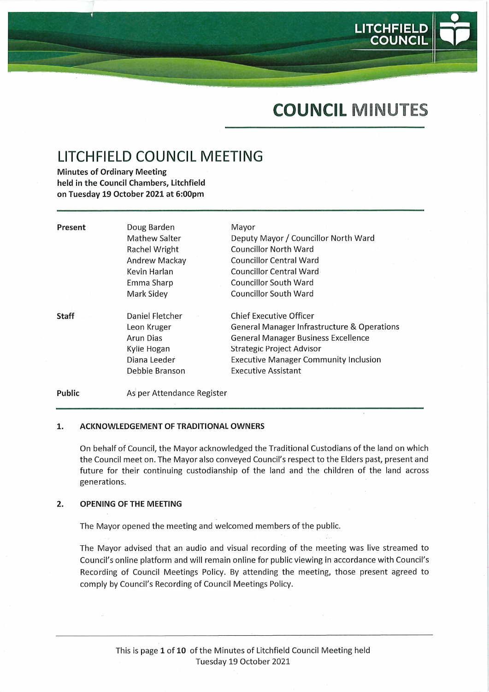

# COUNCIL MINUTES

# LITCHFIELD COUNCIL MEETING

Minutes of Ordinary Meeting held in the Council Chambers, Litchfield on Tuesday 19 October 2021 at 6:00pm

| Present      | Doug Barden     | Mayor                                                  |
|--------------|-----------------|--------------------------------------------------------|
|              | Mathew Salter   | Deputy Mayor / Councillor North Ward                   |
|              | Rachel Wright   | Councillor North Ward                                  |
|              | Andrew Mackay   | <b>Councillor Central Ward</b>                         |
|              | Kevin Harlan    | Councillor Central Ward                                |
|              | Emma Sharp      | <b>Councillor South Ward</b>                           |
|              | Mark Sidey      | <b>Councillor South Ward</b>                           |
|              |                 |                                                        |
| <b>Staff</b> | Daniel Fletcher | Chief Executive Officer                                |
|              | Leon Kruger     | <b>General Manager Infrastructure &amp; Operations</b> |
|              | Arun Dias       | <b>General Manager Business Excellence</b>             |
|              | Kylie Hogan     | <b>Strategic Project Advisor</b>                       |
|              | Diana Leeder    | <b>Executive Manager Community Inclusion</b>           |
|              | Debbie Branson  | <b>Executive Assistant</b>                             |
|              |                 |                                                        |

#### Public As per Attendance Register

#### ACKNOWLEDGEMENT OF TRADITIONAL OWNERS 1.

On behalf of Council, the Mayor acknowledged the Traditional Custodians of the land on which the Council meet on. The Mayor also conveyed Council's respect to the Elders past, present and future for their continuing custodianship of the land and the children of the land across generations.

#### $2.$ OPENING OF THE MEETING

The Mayor opened the meeting and welcomed members of the public.

The Mayor advised that an audio and visual recording of the meeting was live streamed to Council's online platform and will remain online for public viewing in accordance with Council's Recording of Council Meetings Policy. By attending the meeting, those present agreed to comply by Council's Recording of Council Meetings Policy.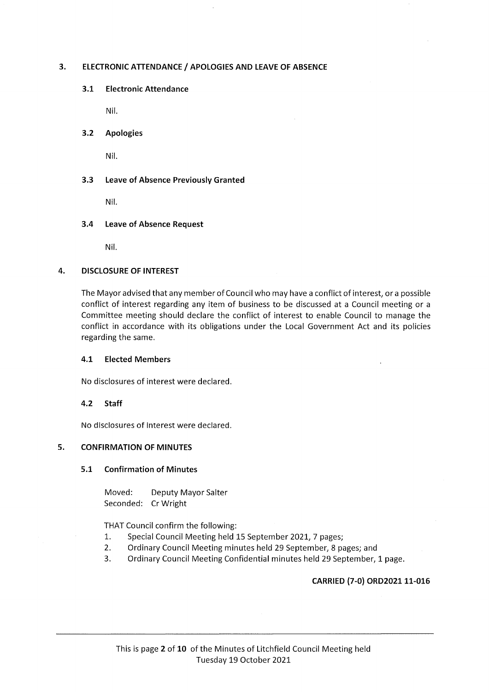# 3. ELECTRONIC ATTENDANCE / APOLOGIES AND LEAVE OF ABSENCE

# 3.1 Electronic Attendance

Nil.

# 3.2 Apologies

Nil.

# 3.3 Leave of Absence Previously Granted

Nil.

# 3.4 Leave of Absence Request

Nil.

# 4. DISCLOSURE OF INTEREST

The MayoradvisedthatanymemberofCouncilwhomay have a conflict of interest, or a possible conflict of interest regarding any item of business to be discussed at a Council meeting or a Committee meeting should declare the conflict of interest to enable Council to manage the conflict in accordance with its obligations under the Local Government Act and its policies regarding the same.

# 4.1 Elected Members

No disclosures of interest were declared.

# 4.2 Staff

No disclosures of interest were declared.

# 5. CONFIRMATION OF MINUTES

# 5.1 Confirmation of Minutes

Moved: Deputy Mayor Salter Seconded: CrWright

THAT Council confirm the following:

- 1. Special Council Meeting held 15 September 2021, 7 pages;
- 2. Ordinary Council Meeting minutes held 29 September, 8 pages; and
- 3. Ordinary Council Meeting Confidential minutes held 29 September, 1 page.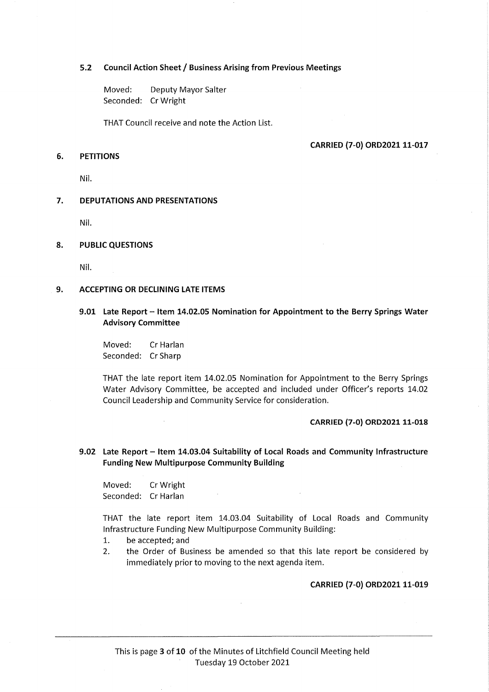#### 5.2 Council Action Sheet / Business Arising from Previous Meetings

Moved: Deputy Mayor Salter Seconded: CrWright

THAT Council receive and note the Action List.

### CARRIED (7-0) ORD2021 11-017

# 6. PETITIONS

Nil.

#### 7. DEPUTATIONS AND PRESENTATIONS

Nil.

#### 8. PUBLIC QUESTIONS

Nil.

#### 9. ACCEPTING OR DECLINING LATE ITEMS

# 9.01 Late Report - Item 14.02.05 Nomination for Appointment to the Berry Springs Water Advisory Committee

Moved: CrHarlan Seconded: CrSharp

 $\bar{t}$ 

THAT the late report item 14.02.05 Nomination for Appointment to the Berry Springs Water Advisory Committee, be accepted and included under Officer's reports 14.02 Council Leadership and Community Service for consideration.

#### CARRIED (7-0) ORD2021 11-018

# 9.02 Late Report - Item 14.03.04 Suitability of Local Roads and Community Infrastructure Funding New Multipurpose Community Building

Moved: CrWright Seconded: Cr Harlan

THAT the late report item 14.03.04 Suitability of Local Roads and Community Infrastructure Funding New Multipurpose Community Building:

- 1. be accepted; and
- 2. the Order of Business be amended so that this late report be considered by immediately prior to moving to the next agenda item.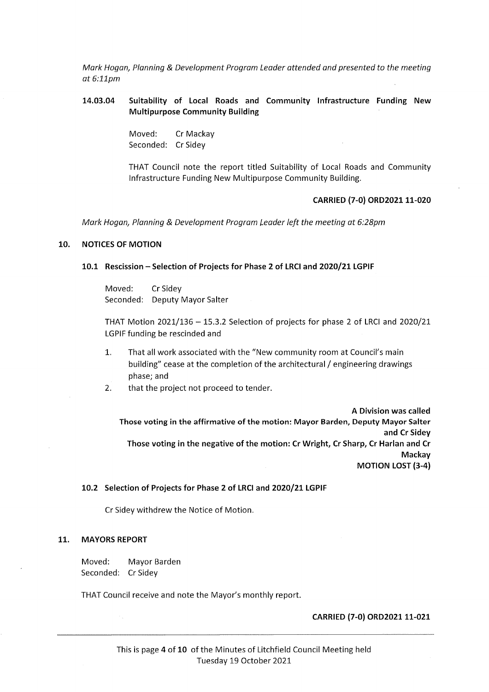Mark Hogan, Planning & Development Program Leader attended and presented to the meeting at 6:llpm

# 14.03.04 Suitability of Local Roads and Community Infrastructure Funding New Multipurpose Community Building

Moved: Cr Mackay Seconded: Cr Sidey

THAT Council note the report titled Suitability of Local Roads and Community Infrastructure Funding New Multipurpose Community Building.

### CARRIED (7-0) ORD2021 11-020

Mark Hogan, Planning & Development Program Leader left the meeting at 6:28pm

# 10. NOTICES OF MOTION

#### 10.1 Rescission - Selection of Projects for Phase 2 of LRCI and 2020/21 LGPIF

Moved: CrSidey Seconded: Deputy Mayor Salter

THAT Motion 2021/136 - 15.3.2 Selection of projects for phase 2 of LRCI and 2020/21 LGPIF funding be rescinded and

- 1. That all work associated with the "New community room at Council's main building" cease at the completion of the architectural / engineering drawings phase; and
- 2. that the project not proceed to tender.

A Division was called Those voting in the affirmative of the motion: Mayor Barden, Deputy Mayor Salter and Cr Sidey Those voting in the negative of the motion: Cr Wright, Cr Sharp, Cr Harlan and Cr Mackay MOTION LOST (3-4)

# 10.2 Selection of Projects for Phase 2 of LRCIand 2020/21 LGPIF

Cr Sidey withdrew the Notice of Motion.

#### 11. MAYORS REPORT

Moved: Mayor Barden Seconded: Cr Sidey

THAT Council receive and note the Mayor's monthly report.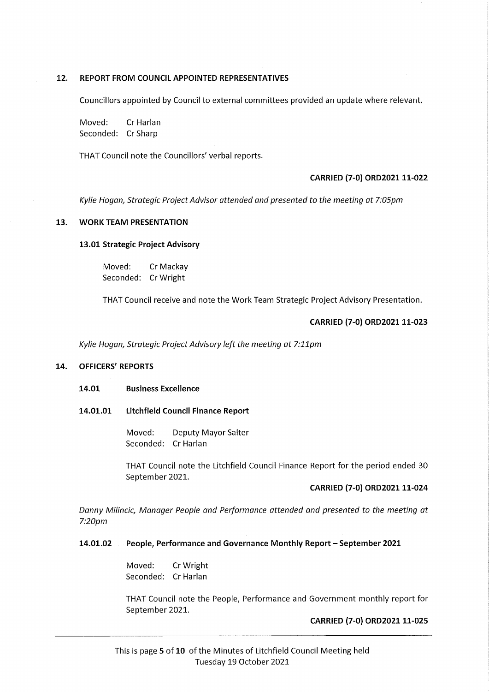# 12. REPORT FROM COUNCIL APPOINTED REPRESENTATIVES

Councillors appointed by Council to external committees provided an update where relevant.

Moved: CrHarlan Seconded: CrSharp

THAT Council note the Councillors' verbal reports.

### CARRIED (7-0) ORD2021 11-022

Kylie Hogan, Strategic Project Advisor attended and presented to the meeting at 7:05pm

# 13. WORK TEAM PRESENTATION

13.01 Strategic Project Advisory

Moved: Cr Mackay Seconded: CrWright

THAT Council receive and note the Work Team Strategic Project Advisory Presentation.

## CARRIED (7-0) ORD2021 11-023

Kylie Hogan, Strategic Project Advisory left the meeting at 7:11pm

# 14. OFFICERS' REPORTS

#### 14.01 Business Excellence

#### 14.01.01 Litchfield Council Finance Report

Moved: Deputy Mayor Salter Seconded: Cr Harlan

THAT Council note the Litchfield Council Finance Report for the period ended 30 September 2021.

#### CARRIED (7-0) ORD2021 11-024

Danny Milincic, Manager People and Performance attended and presented to the meeting at 7:20pm

#### 14.01.02 People, Performance and Governance Monthly Report - September 2021

Moved: CrWright Seconded: Cr Harlan

THAT Council note the People, Performance and Government monthly report for September 2021.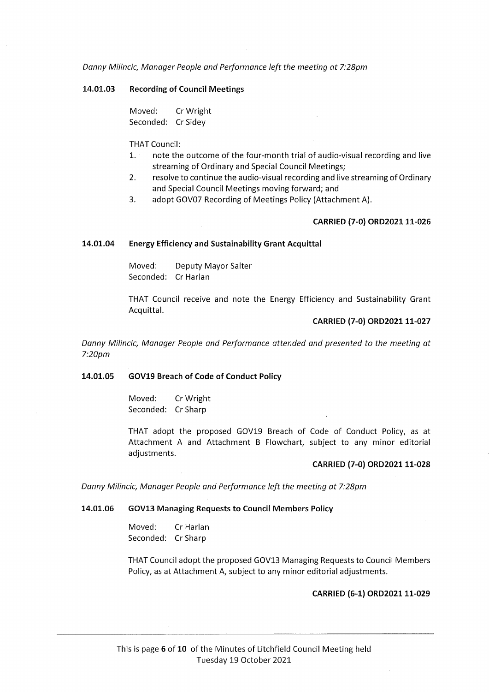Danny Milincic, Manager People and Performance left the meeting at 7:28pm

#### 14.01.03 Recording of Council Meetings

Moved: CrWright Seconded: CrSidey

THAT Council:

- 1. note the outcome of the four-month trial of audio-visual recording and live streaming of Ordinary and Special Council Meetings;
- 2. resolve to continue the audio-visual recording and live streaming of Ordinary and Special Council Meetings moving forward; and
- 3. adopt GOV07 Recording of Meetings Policy (Attachment A).

# CARRIED (7-0) ORD2021 11-026

## 14.01.04 Energy Efficiency and Sustainability Grant Acquittal

Moved: Deputy Mayor Satter Seconded: Cr Harlan

THAT Council receive and note the Energy Efficiency and Sustainability Grant Acquittal.

# CARRIED (7-0) ORD202111-027

Danny Milincic, Manager People and Performance attended and presented to the meeting at 7:20pm

#### 14.01.05 GOV19 Breach of Code of Conduct Policy

Moved: CrWright Seconded: Cr Sharp

THAT adopt the proposed GOV19 Breach of Code of Conduct Policy, as at Attachment A and Attachment B Flowchart, subject to any minor editorial adjustments.

# CARRIED (7-0) ORD2021 11-028

Danny Milincic, Manager People and Performance left the meeting at 7:28pm

### 14.01.06 GOV13 Managing Requests to Council Members Policy

Moved: CrHarlan Seconded: CrSharp

THAT Council adopt the proposed GOV13 Managing Requests to Council Members Policy, as at Attachment A, subject to any minor editorial adjustments.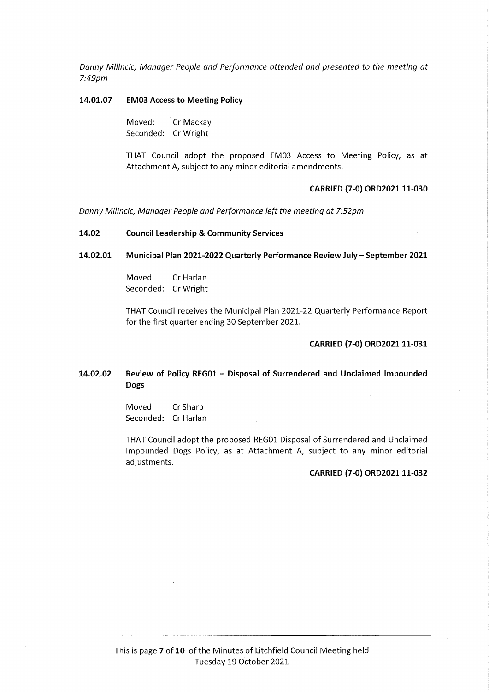Danny Milincic, Manager People and Performance attended and presented to the meeting at 7:49pm

#### 14.01.07 EM03 Access to Meeting Policy

Moved: Cr Mackay Seconded: CrWright

THAT Council adopt the proposed EM03 Access to Meeting Policy, as at Attachment A, subject to any minor editorial amendments.

#### CARRIED (7-0) ORD2021 11-030

Danny Milincic, Manager People and Performance left the meeting at 7:52pm

#### 14.02 Council Leadership & Community Services

14.02.01 Municipal Plan 2021-2022 Quarterly Performance Review July - September 2021

Moved: Cr Harlan Seconded: CrWright

THAT Council receives the Municipal Plan 2021-22 Quarterly Performance Report for the first quarter ending 30 September 2021.

#### CARRIED (7-0) ORD2021 11-031

# 14.02.02 Review of Policy REG01 - Disposal of Surrendered and Unclaimed Impounded Dogs

Moved: CrSharp Seconded: Cr Harlan

THAT Council adopt the proposed REG01 Disposal of Surrendered and Unclaimed Impounded Dogs Policy, as at Attachment A, subject to any minor editorial adjustments.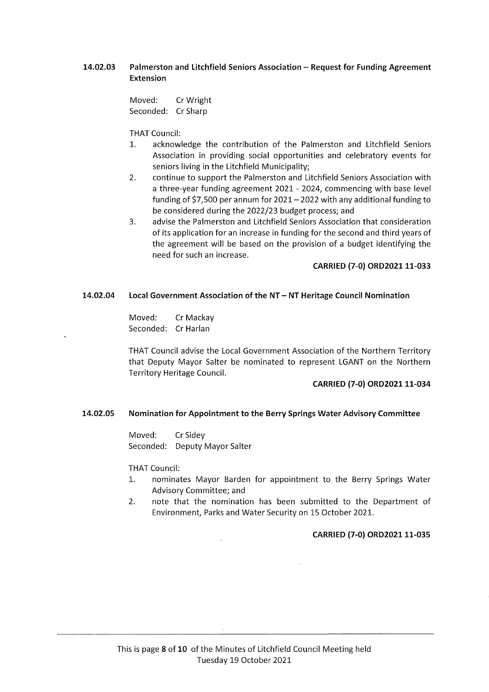# 14.02.03 Palmerston and Litchfield Seniors Association - Request for Funding Agreement Extension

Moved: CrWright Seconded: CrSharp

#### THAT Council:

- 1. acknowledge the contribution of the Palmerston and Litchfield Seniors Association in providing social opportunities and celebratory events for seniors living in the Litchfield Municipality;
- 2. continue to support the Palmerston and Litchfield Seniors Association with a three-year funding agreement 2021 - 2024, commencing with base level funding of \$7,500 per annum for  $2021 - 2022$  with any additional funding to be considered during the 2022/23 budget process; and
- 3. advise the Palmerston and Litchfield Seniors Association that consideration of its application for an increase in funding for the second and third years of the agreement will be based on the provision of a budget identifying the need for such an increase.

# CARRIED (7-0) ORD2021 11-033

### 14.02.04 Local Government Association of the NT - NT Heritage Council Nomination

Moved: Cr Mackay Seconded: Cr Harlan

THAT Council advise the Local Government Association of the Northern Territory that Deputy Mayor Salter be nominated to represent LGANT on the Northern Territory Heritage Council.

#### CARRIED (7-0) ORD2021 11-034

#### 14.02.05 Nomination for Appointment to the Berry Springs Water Advisory Committee

Moved: CrSidey Seconded: Deputy Mayor Salter

THAT Council:

- 1. nominates Mayor Barden for appointment to the Berry Springs Water Advisory Committee; and
- 2. note that the nomination has been submitted to the Department of Environment, Parks and Water Security on 15 October 2021.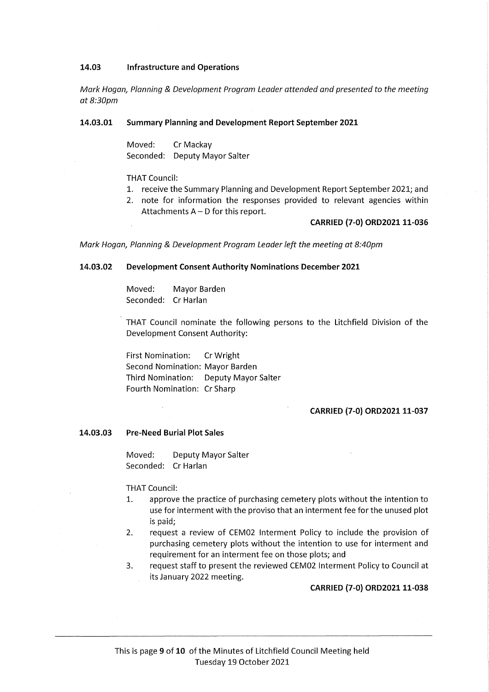### 14.03 Infrastructure and Operations

Mark Hogan, Planning & Development Program Leader attended and presented to the meeting at 8:30pm

#### 14.03.01 Summary Planning and Development Report September 2021

Moved: Cr Mackay Seconded: Deputy Mayor Salter

THAT Council:

- 1. receive the Summary Planning and Development Report September 2021; and
- 2. note for information the responses provided to relevant agencies within Attachments A - D for this report.

## CARRIED (7-0) ORD2021 11-036

Mark Hogan, Planning & Development Program Leader left the meeting at 8:40pm

# 14.03.02 Development Consent Authority Nominations December 2021

Moved: Mayor Barden Seconded: Cr Harlan

THAT Council nominate the following persons to the Litchfield Division of the Development Consent Authority:

First Nomination: CrWright Second Nomination: Mayor Barden Third Nomination: Deputy Mayor Salter Fourth Nomination: Cr Sharp

#### CARRIED (7-0) ORD2021 11-037

#### 14.03.03 Pre-Need Burial Plot Sales

Moved: Deputy Mayor Salter Seconded: Cr Harlan

#### THAT Council:

- 1. approve the practice of purchasing cemetery plots without the intention to use for interment with the proviso that an interment fee for the unused plot is paid;
- 2. request a review of CEM02 Interment Policy to include the provision of purchasing cemetery plots without the intention to use for interment and requirement for an interment fee on those plots; and
- 3. request staff to present the reviewed CEM02 Interment Policy to Council at its January 2022 meeting.